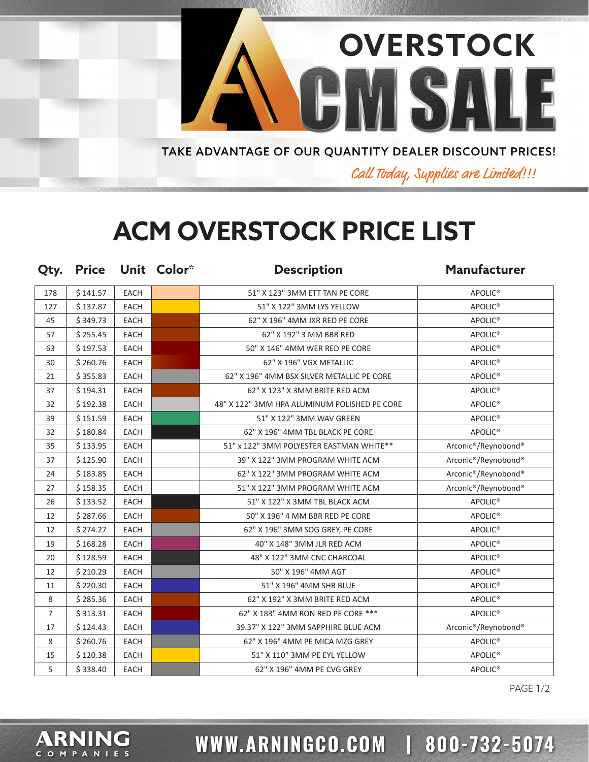**OVERSTOCK** MSA Ē

TAKE ADVANTAGE OF OUR QUANTITY DEALER DISCOUNT PRICES!

WWW.ARNINGCO.COM | 800-732-5074

Call Today, Supplies are Limited!!!

## **ACM OVERSTOCK PRICE LIST**

| Qty.           |          |             | Price Unit Color* | <b>Description</b>                           | <b>Manufacturer</b> |
|----------------|----------|-------------|-------------------|----------------------------------------------|---------------------|
| 178            | \$141.57 | <b>EACH</b> |                   | 51" X 123" 3MM ETT TAN PE CORE               | APOLIC <sup>®</sup> |
| 127            | \$137.87 | EACH        |                   | 51" X 122" 3MM LYS YELLOW                    | APOLIC <sup>®</sup> |
| 45             | \$349.73 | <b>EACH</b> |                   | 62" X 196" 4MM JXR RED PE CORE               | APOLIC <sup>®</sup> |
| 57             | \$255.45 | <b>EACH</b> |                   | 62" X 192" 3 MM BBR RED                      | APOLIC <sup>®</sup> |
| 63             | \$197.53 | EACH        |                   | 50" X 146" 4MM WER RED PE CORE               | APOLIC <sup>®</sup> |
| 30             | \$260.76 | <b>EACH</b> |                   | 62" X 196" VGX METALLIC                      | APOLIC <sup>®</sup> |
| 21             | \$355.83 | EACH        |                   | 62" X 196" 4MM BSX SILVER METALLIC PE CORE   | APOLIC <sup>®</sup> |
| 37             | \$194.31 | <b>EACH</b> |                   | 62" X 123" X 3MM BRITE RED ACM               | APOLIC <sup>®</sup> |
| 32             | \$192.38 | <b>EACH</b> |                   | 48" X 122" 3MM HPA ALUMINUM POLISHED PE CORE | APOLIC <sup>®</sup> |
| 39             | \$151.59 | EACH        |                   | 51" X 122" 3MM WAV GREEN                     | APOLIC <sup>®</sup> |
| 32             | \$180.84 | <b>EACH</b> |                   | 62" X 196" 4MM TBL BLACK PE CORE             | APOLIC <sup>®</sup> |
| 35             | \$133.95 | EACH        |                   | 51" x 122" 3MM POLYESTER EASTMAN WHITE**     | Arconic®/Reynobond® |
| 37             | \$125.90 | EACH        |                   | 39" X 122" 3MM PROGRAM WHITE ACM             | Arconic®/Reynobond® |
| 24             | \$183.85 | <b>EACH</b> |                   | 62" X 122" 3MM PROGRAM WHITE ACM             | Arconic®/Reynobond® |
| 27             | \$158.35 | <b>EACH</b> |                   | 51" X 122" 3MM PROGRAM WHITE ACM             | Arconic®/Reynobond® |
| 26             | \$133.52 | <b>EACH</b> |                   | 51" X 122" X 3MM TBL BLACK ACM               | APOLIC <sup>®</sup> |
| 12             | \$287.66 | EACH        |                   | 50" X 196" 4 MM BBR RED PE CORE              | APOLIC <sup>®</sup> |
| 12             | \$274.27 | <b>EACH</b> |                   | 62" X 196" 3MM SOG GREY, PE CORE             | APOLIC <sup>®</sup> |
| 19             | \$168.28 | <b>EACH</b> |                   | 40" X 148" 3MM JLR RED ACM                   | APOLIC <sup>®</sup> |
| 20             | \$128.59 | <b>EACH</b> |                   | 48" X 122" 3MM CNC CHARCOAL                  | APOLIC <sup>®</sup> |
| 12             | \$210.29 | <b>EACH</b> |                   | 50" X 196" 4MM AGT                           | APOLIC <sup>®</sup> |
| 11             | \$220.30 | EACH        |                   | 51" X 196" 4MM SHB BLUE                      | <b>APOLIC®</b>      |
| 8              | \$285.36 | <b>EACH</b> |                   | 62" X 192" X 3MM BRITE RED ACM               | APOLIC <sup>®</sup> |
| $\overline{7}$ | \$313.31 | <b>EACH</b> |                   | 62" X 183" 4MM RON RED PE CORE ***           | APOLIC <sup>®</sup> |
| 17             | \$124.43 | <b>EACH</b> |                   | 39.37" X 122" 3MM SAPPHIRE BLUE ACM          | Arconic®/Reynobond® |
| 8              | \$260.76 | <b>EACH</b> |                   | 62" X 196" 4MM PE MICA MZG GREY              | APOLIC <sup>®</sup> |
| 15             | \$120.38 | EACH        |                   | 51" X 110" 3MM PE EYL YELLOW                 | APOLIC <sup>®</sup> |
| 5              | \$338.40 | <b>EACH</b> |                   | 62" X 196" 4MM PE CVG GREY                   | APOLIC <sup>®</sup> |

**RNING** 

COMPANIES

 $\blacktriangle$ 

PAGE 1/2